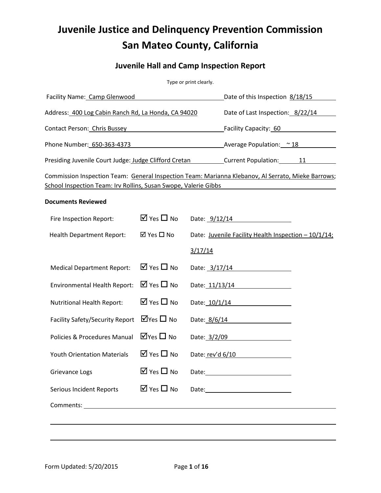# **Juvenile Justice and Delinquency Prevention Commission San Mateo County, California**

# **Juvenile Hall and Camp Inspection Report**

Type or print clearly.

| Facility Name: Camp Glenwood                                                                       | Date of this Inspection 8/18/15  |
|----------------------------------------------------------------------------------------------------|----------------------------------|
| Address: 400 Log Cabin Ranch Rd, La Honda, CA 94020                                                | Date of Last Inspection: 8/22/14 |
| <b>Contact Person: Chris Bussey</b>                                                                | Facility Capacity: 60            |
| Phone Number: 650-363-4373                                                                         | Average Population: ~ 18         |
| Presiding Juvenile Court Judge: Judge Clifford Cretan                                              | <b>Current Population:</b><br>11 |
| Commission Inspection Team: General Inspection Team: Marianna Klebanov, Al Serrato, Mieke Barrows; |                                  |

School Inspection Team: Irv Rollins, Susan Swope, Valerie Gibbs

### **Documents Reviewed**

| Fire Inspection Report:                                                                                                                                                                                                            | $\overline{M}$ Yes $\Box$ No          | Date: 9/12/14                                           |
|------------------------------------------------------------------------------------------------------------------------------------------------------------------------------------------------------------------------------------|---------------------------------------|---------------------------------------------------------|
| <b>Health Department Report:</b>                                                                                                                                                                                                   | ⊠ Yes □ No                            | Date: Juvenile Facility Health Inspection - 10/1/14;    |
|                                                                                                                                                                                                                                    |                                       | 3/17/14                                                 |
| <b>Medical Department Report:</b>                                                                                                                                                                                                  | $\boxtimes$ Yes $\Box$ No             | Date: 3/17/14                                           |
| <b>Environmental Health Report:</b>                                                                                                                                                                                                | $\boxtimes$ Yes $\Box$ No             | Date: 11/13/14                                          |
| <b>Nutritional Health Report:</b>                                                                                                                                                                                                  | $\boxtimes$ Yes $\Box$ No             | Date: 10/1/14                                           |
| Facility Safety/Security Report                                                                                                                                                                                                    | $\overline{\mathsf{M}}$ Yes $\Box$ No | Date: 8/6/14                                            |
| Policies & Procedures Manual                                                                                                                                                                                                       | $\Box$ Yes $\Box$ No                  | Date: 3/2/09<br><u> 1989 - Johann Barbara, martxa a</u> |
| <b>Youth Orientation Materials</b>                                                                                                                                                                                                 | $\overline{2}$ Yes $\Box$ No          | Date: rev'd 6/10                                        |
| Grievance Logs                                                                                                                                                                                                                     | $\overline{M}$ Yes $\Box$ No          |                                                         |
| Serious Incident Reports                                                                                                                                                                                                           | $\overline{M}$ Yes $\Box$ No          | Date: Date:                                             |
| Comments: <u>comments:</u> comments: comments: comments: comments: comments: comments: comments: comments: comments: comments: comments: comments: comments: comments: comments: comments: comments: comments: comments: comments: |                                       |                                                         |
|                                                                                                                                                                                                                                    |                                       |                                                         |
|                                                                                                                                                                                                                                    |                                       |                                                         |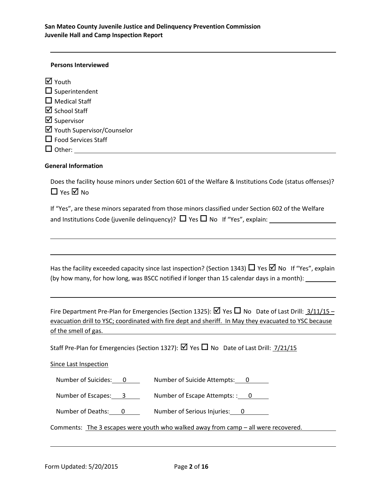### **Persons Interviewed**

| M Youth                              |
|--------------------------------------|
| $\Box$ Superintendent                |
| $\Box$ Medical Staff                 |
| $\overline{\mathbf{M}}$ School Staff |
| $\overline{\mathbf{M}}$ Supervisor   |
| ☑ Youth Supervisor/Counselor         |
| $\Box$ Food Services Staff           |
| $\Box$ Other:                        |

### **General Information**

Does the facility house minors under Section 601 of the Welfare & Institutions Code (status offenses)?  $\Box$  Yes  $\overline{\boxtimes}$  No

If "Yes", are these minors separated from those minors classified under Section 602 of the Welfare and Institutions Code (juvenile delinguency)?  $\Box$  Yes  $\Box$  No If "Yes", explain:

Has the facility exceeded capacity since last inspection? (Section 1343)  $\Box$  Yes  $\Box$  No If "Yes", explain (by how many, for how long, was BSCC notified if longer than 15 calendar days in a month):

Fire Department Pre-Plan for Emergencies (Section 1325):  $\boxtimes$  Yes  $\Box$  No Date of Last Drill:  $\frac{3}{11}{15}$ evacuation drill to YSC; coordinated with fire dept and sheriff. In May they evacuated to YSC because of the smell of gas.

Staff Pre-Plan for Emergencies (Section 1327):  $\boxtimes$  Yes  $\Box$  No Date of Last Drill: 7/21/15

### Since Last Inspection

Number of Suicides: 0 Number of Suicide Attempts: 0

Number of Escapes: 3 Number of Escape Attempts:: 0

Number of Deaths: 0 Number of Serious Injuries: 0

Comments: The 3 escapes were youth who walked away from camp – all were recovered.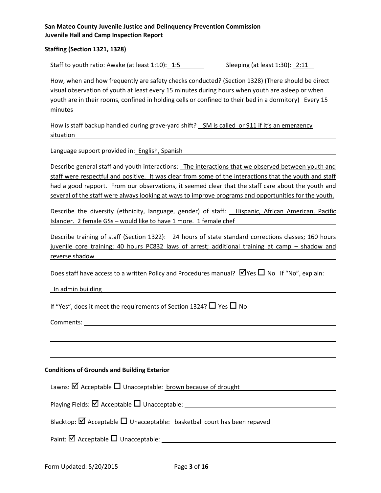### **Staffing (Section 1321, 1328)**

Staff to youth ratio: Awake (at least  $1:10$ ):  $1:5$  Sleeping (at least  $1:30$ ):  $2:11$ 

How, when and how frequently are safety checks conducted? (Section 1328) (There should be direct visual observation of youth at least every 15 minutes during hours when youth are asleep or when youth are in their rooms, confined in holding cells or confined to their bed in a dormitory) Every 15 minutes

How is staff backup handled during grave-yard shift? ISM is called or 911 if it's an emergency situation

Language support provided in: English, Spanish

Describe general staff and youth interactions: The interactions that we observed between youth and staff were respectful and positive. It was clear from some of the interactions that the youth and staff had a good rapport. From our observations, it seemed clear that the staff care about the youth and several of the staff were always looking at ways to improve programs and opportunities for the youth.

Describe the diversity (ethnicity, language, gender) of staff: Hispanic, African American, Pacific Islander. 2 female GSs – would like to have 1 more. 1 female chef

Describe training of staff (Section 1322): 24 hours of state standard corrections classes; 160 hours juvenile core training; 40 hours PC832 laws of arrest; additional training at camp – shadow and reverse shadow

Does staff have access to a written Policy and Procedures manual?  $\boxtimes$  Yes  $\Box$  No If "No", explain:

In admin building the contract of the contract of the contract of the contract of the contract of the contract o

If "Yes", does it meet the requirements of Section 1324?  $\Box$  Yes  $\Box$  No

Comments:

### **Conditions of Grounds and Building Exterior**

Lawns:  $\boxtimes$  Acceptable  $\Box$  Unacceptable: brown because of drought

Playing Fields:  $\boxtimes$  Acceptable  $\Box$  Unacceptable:

Blacktop:  $\boxtimes$  Acceptable  $\Box$  Unacceptable: basketball court has been repaved

Paint:  $\Box$  Acceptable  $\Box$  Unacceptable: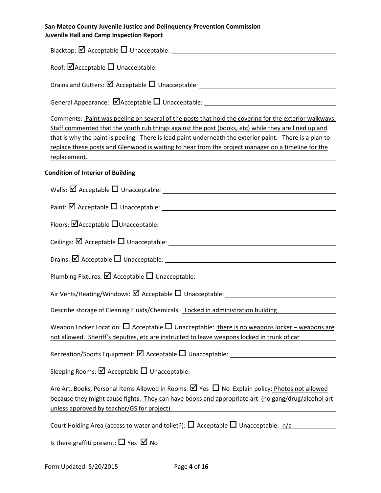| Comments: Paint was peeling on several of the posts that hold the covering for the exterior walkways.<br>Staff commented that the youth rub things against the post (books, etc) while they are lined up and<br>that is why the paint is peeling. There is lead paint underneath the exterior paint. There is a plan to<br>replace these posts and Glenwood is waiting to hear from the project manager on a timeline for the                        |
|------------------------------------------------------------------------------------------------------------------------------------------------------------------------------------------------------------------------------------------------------------------------------------------------------------------------------------------------------------------------------------------------------------------------------------------------------|
| <b>Condition of Interior of Building</b>                                                                                                                                                                                                                                                                                                                                                                                                             |
|                                                                                                                                                                                                                                                                                                                                                                                                                                                      |
|                                                                                                                                                                                                                                                                                                                                                                                                                                                      |
|                                                                                                                                                                                                                                                                                                                                                                                                                                                      |
|                                                                                                                                                                                                                                                                                                                                                                                                                                                      |
|                                                                                                                                                                                                                                                                                                                                                                                                                                                      |
|                                                                                                                                                                                                                                                                                                                                                                                                                                                      |
|                                                                                                                                                                                                                                                                                                                                                                                                                                                      |
| Describe storage of Cleaning Fluids/Chemicals: Locked in administration building                                                                                                                                                                                                                                                                                                                                                                     |
| Weapon Locker Location: $\square$ Acceptable $\square$ Unacceptable: there is no weapons locker – weapons are<br>not allowed. Sheriff's deputies, etc are instructed to leave weapons locked in trunk of car                                                                                                                                                                                                                                         |
|                                                                                                                                                                                                                                                                                                                                                                                                                                                      |
|                                                                                                                                                                                                                                                                                                                                                                                                                                                      |
| Are Art, Books, Personal Items Allowed in Rooms: $\boxtimes$ Yes $\Box$ No Explain policy: Photos not allowed<br>because they might cause fights. They can have books and appropriate art (no gang/drug/alcohol art<br>unless approved by teacher/GS for project). The same state of the state of the state of the state of the state of the state of the state of the state of the state of the state of the state of the state of the state of the |
| Court Holding Area (access to water and toilet?): $\Box$ Acceptable $\Box$ Unacceptable: $n/a$                                                                                                                                                                                                                                                                                                                                                       |
|                                                                                                                                                                                                                                                                                                                                                                                                                                                      |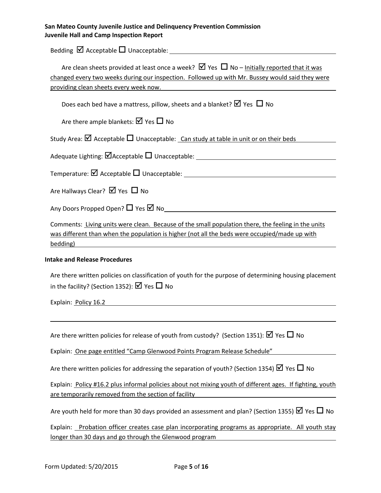Bedding  $\boxtimes$  Acceptable  $\square$  Unacceptable:

| Are clean sheets provided at least once a week? $\boxtimes$ Yes $\Box$ No – Initially reported that it was<br>changed every two weeks during our inspection. Followed up with Mr. Bussey would said they were<br>providing clean sheets every week now. |
|---------------------------------------------------------------------------------------------------------------------------------------------------------------------------------------------------------------------------------------------------------|
|                                                                                                                                                                                                                                                         |
| Does each bed have a mattress, pillow, sheets and a blanket? $\boxtimes$ Yes $\Box$ No                                                                                                                                                                  |
| Are there ample blankets: $\boxtimes$ Yes $\Box$ No                                                                                                                                                                                                     |
| Study Area: $\boxtimes$ Acceptable $\Box$ Unacceptable: Can study at table in unit or on their beds                                                                                                                                                     |
|                                                                                                                                                                                                                                                         |
|                                                                                                                                                                                                                                                         |
| Are Hallways Clear? $\boxtimes$ Yes $\Box$ No                                                                                                                                                                                                           |
|                                                                                                                                                                                                                                                         |
| Comments: Living units were clean. Because of the small population there, the feeling in the units<br>was different than when the population is higher (not all the beds were occupied/made up with<br>bedding)                                         |
| <b>Intake and Release Procedures</b>                                                                                                                                                                                                                    |
| Are there written policies on classification of youth for the purpose of determining housing placement<br>in the facility? (Section 1352): $\boxtimes$ Yes $\Box$ No                                                                                    |
| Explain: Policy 16.2                                                                                                                                                                                                                                    |
|                                                                                                                                                                                                                                                         |
| Are there written policies for release of youth from custody? (Section 1351): $\boxtimes$ Yes $\Box$ No                                                                                                                                                 |
| Explain: One page entitled "Camp Glenwood Points Program Release Schedule"                                                                                                                                                                              |
| Are there written policies for addressing the separation of youth? (Section 1354) $\boxtimes$ Yes $\Box$ No                                                                                                                                             |
| Explain: Policy #16.2 plus informal policies about not mixing youth of different ages. If fighting, youth<br>are temporarily removed from the section of facility                                                                                       |
| Are youth held for more than 30 days provided an assessment and plan? (Section 1355) $\boxtimes$ Yes $\Box$ No                                                                                                                                          |

Explain: Probation officer creates case plan incorporating programs as appropriate. All youth stay longer than 30 days and go through the Glenwood program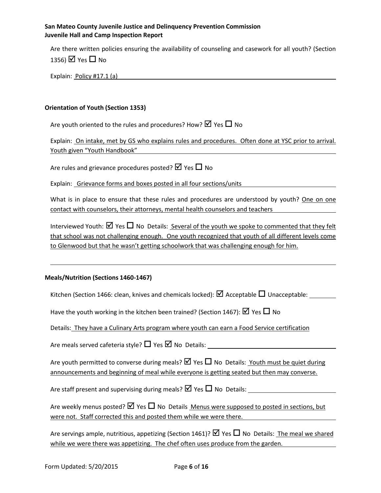Are there written policies ensuring the availability of counseling and casework for all youth? (Section 1356)  $\overline{M}$  Yes  $\overline{\Box}$  No

Explain: Policy #17.1 (a)

### **Orientation of Youth (Section 1353)**

Are youth oriented to the rules and procedures? How?  $\boxtimes$  Yes  $\Box$  No

Explain: On intake, met by GS who explains rules and procedures. Often done at YSC prior to arrival. Youth given "Youth Handbook"

Are rules and grievance procedures posted?  $\boxtimes$  Yes  $\Box$  No

Explain: Grievance forms and boxes posted in all four sections/units

What is in place to ensure that these rules and procedures are understood by youth? One on one contact with counselors, their attorneys, mental health counselors and teachers

Interviewed Youth:  $\boxtimes$  Yes  $\Box$  No Details: Several of the youth we spoke to commented that they felt that school was not challenging enough. One youth recognized that youth of all different levels come to Glenwood but that he wasn't getting schoolwork that was challenging enough for him.

### **Meals/Nutrition (Sections 1460-1467)**

Kitchen (Section 1466: clean, knives and chemicals locked):  $\boxtimes$  Acceptable  $\Box$  Unacceptable:

Have the youth working in the kitchen been trained? (Section 1467):  $\boxtimes$  Yes  $\Box$  No

Details: They have a Culinary Arts program where youth can earn a Food Service certification

Are meals served cafeteria style?  $\Box$  Yes  $\Box$  No Details:

Are youth permitted to converse during meals?  $\boxtimes$  Yes  $\Box$  No Details: Youth must be quiet during announcements and beginning of meal while everyone is getting seated but then may converse.

Are staff present and supervising during meals?  $\boxtimes$  Yes  $\Box$  No Details:

Are weekly menus posted?  $\boxtimes$  Yes  $\Box$  No Details Menus were supposed to posted in sections, but were not. Staff corrected this and posted them while we were there.

Are servings ample, nutritious, appetizing (Section 1461)?  $\boxtimes$  Yes  $\Box$  No Details: The meal we shared while we were there was appetizing. The chef often uses produce from the garden.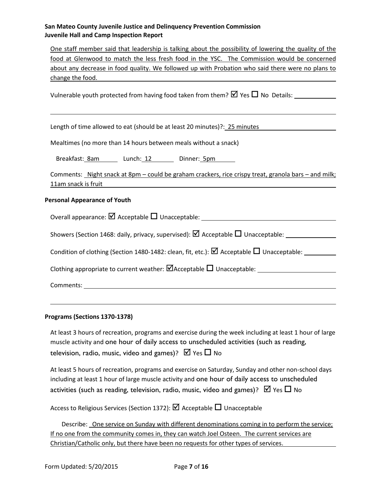One staff member said that leadership is talking about the possibility of lowering the quality of the food at Glenwood to match the less fresh food in the YSC. The Commission would be concerned about any decrease in food quality. We followed up with Probation who said there were no plans to change the food.

Vulnerable youth protected from having food taken from them?  $\boxtimes$  Yes  $\Box$  No Details:

Length of time allowed to eat (should be at least 20 minutes)?: 25 minutes

Mealtimes (no more than 14 hours between meals without a snack)

Breakfast: 8am Lunch: 12 Dinner: 5pm

Comments: Night snack at 8pm – could be graham crackers, rice crispy treat, granola bars – and milk; 11am snack is fruit

### **Personal Appearance of Youth**

Overall appearance:  $\boxtimes$  Acceptable  $\Box$  Unacceptable:

Showers (Section 1468: daily, privacy, supervised):  $\boxtimes$  Acceptable  $\Box$  Unacceptable:

Condition of clothing (Section 1480-1482: clean, fit, etc.):  $\Box$  Acceptable  $\Box$  Unacceptable:

Clothing appropriate to current weather:  $\Box$  Acceptable  $\Box$  Unacceptable:

Comments:

### **Programs (Sections 1370-1378)**

At least 3 hours of recreation, programs and exercise during the week including at least 1 hour of large muscle activity and one hour of daily access to unscheduled activities (such as reading, television, radio, music, video and games)?  $\boxtimes$  Yes  $\Box$  No

At least 5 hours of recreation, programs and exercise on Saturday, Sunday and other non-school days including at least 1 hour of large muscle activity and one hour of daily access to unscheduled activities (such as reading, television, radio, music, video and games)?  $\boxtimes$  Yes  $\Box$  No

Access to Religious Services (Section 1372):  $\boxtimes$  Acceptable  $\Box$  Unacceptable

Describe: One service on Sunday with different denominations coming in to perform the service; If no one from the community comes in, they can watch Joel Osteen. The current services are Christian/Catholic only, but there have been no requests for other types of services.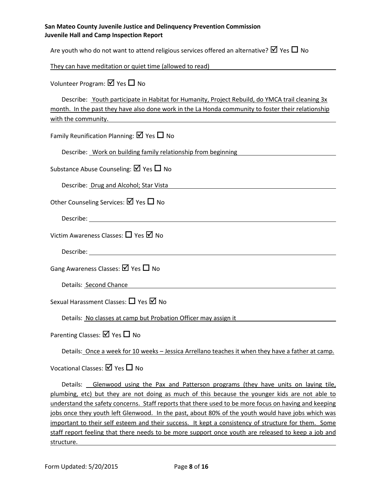| San Mateo County Juvenile Justice and Delinquency Prevention Commission |
|-------------------------------------------------------------------------|
| Juvenile Hall and Camp Inspection Report                                |

Are youth who do not want to attend religious services offered an alternative?  $\boxtimes$  Yes  $\Box$  No

They can have meditation or quiet time (allowed to read)

Volunteer Program:  $\boxtimes$  Yes  $\Box$  No

|                     | Describe: Youth participate in Habitat for Humanity, Project Rebuild, do YMCA trail cleaning 3x    |
|---------------------|----------------------------------------------------------------------------------------------------|
|                     | month. In the past they have also done work in the La Honda community to foster their relationship |
| with the community. |                                                                                                    |

Family Reunification Planning:  $\boxtimes$  Yes  $\Box$  No

Describe: Work on building family relationship from beginning

Substance Abuse Counseling:  $\boxtimes$  Yes  $\Box$  No

Describe: Drug and Alcohol; Star Vista

Other Counseling Services:  $\boxtimes$  Yes  $\Box$  No

Describe: <u>with the contract of the contract of the contract of the contract of the contract of the contract of the contract of the contract of the contract of the contract of the contract of the contract of the contract o</u>

Victim Awareness Classes:  $\Box$  Yes  $\Box$  No

Describe:

Gang Awareness Classes:  $\boxtimes$  Yes  $\Box$  No

Details: Second Chance

Sexual Harassment Classes:  $\Box$  Yes  $\Box$  No

Details: No classes at camp but Probation Officer may assign it

Parenting Classes:  $\boxtimes$  Yes  $\Box$  No

Details: Once a week for 10 weeks - Jessica Arrellano teaches it when they have a father at camp.

Vocational Classes:  $\boxtimes$  Yes  $\Box$  No

Details: Glenwood using the Pax and Patterson programs (they have units on laying tile, plumbing, etc) but they are not doing as much of this because the younger kids are not able to understand the safety concerns. Staff reports that there used to be more focus on having and keeping jobs once they youth left Glenwood. In the past, about 80% of the youth would have jobs which was important to their self esteem and their success. It kept a consistency of structure for them. Some staff report feeling that there needs to be more support once youth are released to keep a job and structure.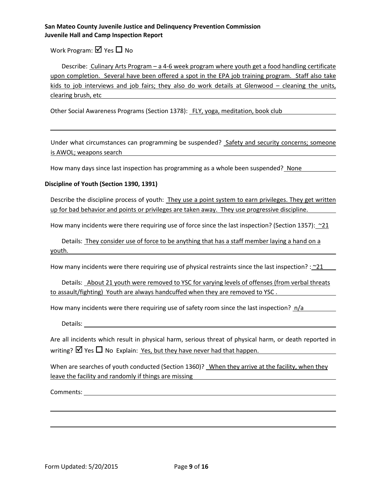Work Program:  $\boxtimes$  Yes  $\Box$  No

Describe: Culinary Arts Program – a 4-6 week program where youth get a food handling certificate upon completion. Several have been offered a spot in the EPA job training program. Staff also take kids to job interviews and job fairs; they also do work details at Glenwood – cleaning the units, clearing brush, etc

Other Social Awareness Programs (Section 1378): FLY, yoga, meditation, book club

Under what circumstances can programming be suspended? Safety and security concerns; someone is AWOL; weapons search

How many days since last inspection has programming as a whole been suspended? None

### **Discipline of Youth (Section 1390, 1391)**

Describe the discipline process of youth: They use a point system to earn privileges. They get written up for bad behavior and points or privileges are taken away. They use progressive discipline.

How many incidents were there requiring use of force since the last inspection? (Section 1357):  $\sim 21$ 

Details: They consider use of force to be anything that has a staff member laying a hand on a youth.

How many incidents were there requiring use of physical restraints since the last inspection? :  $\sim$ 21

Details: About 21 youth were removed to YSC for varying levels of offenses (from verbal threats to assault/fighting) Youth are always handcuffed when they are removed to YSC .

How many incidents were there requiring use of safety room since the last inspection? n/a

Details:

Are all incidents which result in physical harm, serious threat of physical harm, or death reported in writing?  $\boxtimes$  Yes  $\Box$  No Explain: Yes, but they have never had that happen.

When are searches of youth conducted (Section 1360)? When they arrive at the facility, when they leave the facility and randomly if things are missing

Comments: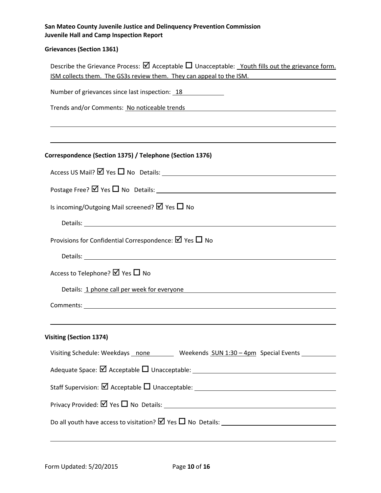# **Grievances (Section 1361)**

| Describe the Grievance Process: $\boxtimes$ Acceptable $\Box$ Unacceptable: Youth fills out the grievance form.<br>ISM collects them. The GS3s review them. They can appeal to the ISM. |
|-----------------------------------------------------------------------------------------------------------------------------------------------------------------------------------------|
| Number of grievances since last inspection: 18                                                                                                                                          |
| Trends and/or Comments: No noticeable trends Trends And Trends And Trends And Alexander And Alexander And Alex                                                                          |
|                                                                                                                                                                                         |
|                                                                                                                                                                                         |
| Correspondence (Section 1375) / Telephone (Section 1376)                                                                                                                                |
|                                                                                                                                                                                         |
|                                                                                                                                                                                         |
| Is incoming/Outgoing Mail screened? $\boxtimes$ Yes $\Box$ No                                                                                                                           |
|                                                                                                                                                                                         |
| Provisions for Confidential Correspondence: $\boxtimes$ Yes $\Box$ No                                                                                                                   |
|                                                                                                                                                                                         |
| Access to Telephone? $\boxtimes$ Yes $\Box$ No                                                                                                                                          |
| Details: 1 phone call per week for everyone<br><u> 1989 - Johann Stein, fransk politik (f. 1989)</u>                                                                                    |
|                                                                                                                                                                                         |
|                                                                                                                                                                                         |
| <b>Visiting (Section 1374)</b>                                                                                                                                                          |
| Visiting Schedule: Weekdays none Weekends SUN 1:30 - 4pm Special Events                                                                                                                 |
|                                                                                                                                                                                         |
|                                                                                                                                                                                         |
|                                                                                                                                                                                         |
|                                                                                                                                                                                         |
|                                                                                                                                                                                         |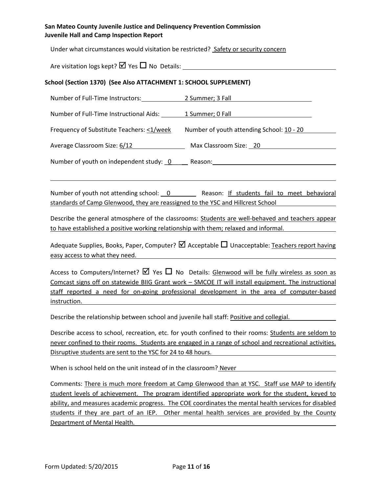Under what circumstances would visitation be restricted? Safety or security concern

Are visitation logs kept?  $\Box$  Yes  $\Box$  No Details:

### **School (Section 1370) (See Also ATTACHMENT 1: SCHOOL SUPPLEMENT)**

Number of Full-Time Instructors: 2 Summer; 3 Fall

Number of Full-Time Instructional Aids: 1 Summer; 0 Fall

Frequency of Substitute Teachers: <1/week Number of youth attending School: 10 - 20

Average Classroom Size: 6/12 Max Classroom Size: 20

Number of youth on independent study: 0 \_\_\_\_ Reason: \_\_\_\_\_\_\_\_\_\_\_\_\_\_\_\_\_\_\_\_\_\_\_\_\_\_\_

Number of youth not attending school: 0 Reason: If students fail to meet behavioral standards of Camp Glenwood, they are reassigned to the YSC and Hillcrest School

Describe the general atmosphere of the classrooms: Students are well-behaved and teachers appear to have established a positive working relationship with them; relaxed and informal.

Adequate Supplies, Books, Paper, Computer?  $\Box$  Acceptable  $\Box$  Unacceptable: Teachers report having easy access to what they need.

Access to Computers/Internet?  $\boxtimes$  Yes  $\Box$  No Details: Glenwood will be fully wireless as soon as Comcast signs off on statewide BIIG Grant work – SMCOE IT will install equipment. The instructional staff reported a need for on-going professional development in the area of computer-based instruction.

Describe the relationship between school and juvenile hall staff: Positive and collegial.

Describe access to school, recreation, etc. for youth confined to their rooms: Students are seldom to never confined to their rooms. Students are engaged in a range of school and recreational activities. Disruptive students are sent to the YSC for 24 to 48 hours.

When is school held on the unit instead of in the classroom? Never

Comments: There is much more freedom at Camp Glenwood than at YSC. Staff use MAP to identify student levels of achievement. The program identified appropriate work for the student, keyed to ability, and measures academic progress. The COE coordinates the mental health services for disabled students if they are part of an IEP. Other mental health services are provided by the County Department of Mental Health.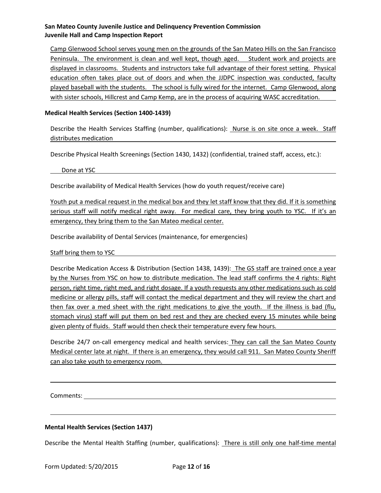Camp Glenwood School serves young men on the grounds of the San Mateo Hills on the San Francisco Peninsula. The environment is clean and well kept, though aged. Student work and projects are displayed in classrooms. Students and instructors take full advantage of their forest setting. Physical education often takes place out of doors and when the JJDPC inspection was conducted, faculty played baseball with the students. The school is fully wired for the internet. Camp Glenwood, along with sister schools, Hillcrest and Camp Kemp, are in the process of acquiring WASC accreditation.

### **Medical Health Services (Section 1400-1439)**

Describe the Health Services Staffing (number, qualifications): Nurse is on site once a week. Staff distributes medication

Describe Physical Health Screenings (Section 1430, 1432) (confidential, trained staff, access, etc.):

Done at YSC

Describe availability of Medical Health Services (how do youth request/receive care)

Youth put a medical request in the medical box and they let staff know that they did. If it is something serious staff will notify medical right away. For medical care, they bring youth to YSC. If it's an emergency, they bring them to the San Mateo medical center.

Describe availability of Dental Services (maintenance, for emergencies)

Staff bring them to YSC

Describe Medication Access & Distribution (Section 1438, 1439): The GS staff are trained once a year by the Nurses from YSC on how to distribute medication. The lead staff confirms the 4 rights: Right person, right time, right med, and right dosage. If a youth requests any other medications such as cold medicine or allergy pills, staff will contact the medical department and they will review the chart and then fax over a med sheet with the right medications to give the youth. If the illness is bad (flu, stomach virus) staff will put them on bed rest and they are checked every 15 minutes while being given plenty of fluids. Staff would then check their temperature every few hours.

Describe 24/7 on-call emergency medical and health services: They can call the San Mateo County Medical center late at night. If there is an emergency, they would call 911. San Mateo County Sheriff can also take youth to emergency room.

Comments:

### **Mental Health Services (Section 1437)**

Describe the Mental Health Staffing (number, qualifications): There is still only one half-time mental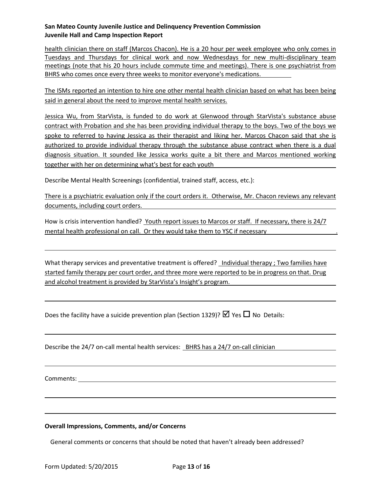health clinician there on staff (Marcos Chacon). He is a 20 hour per week employee who only comes in Tuesdays and Thursdays for clinical work and now Wednesdays for new multi-disciplinary team meetings (note that his 20 hours include commute time and meetings). There is one psychiatrist from BHRS who comes once every three weeks to monitor everyone's medications.

The ISMs reported an intention to hire one other mental health clinician based on what has been being said in general about the need to improve mental health services.

Jessica Wu, from StarVista, is funded to do work at Glenwood through StarVista's substance abuse contract with Probation and she has been providing individual therapy to the boys. Two of the boys we spoke to referred to having Jessica as their therapist and liking her. Marcos Chacon said that she is authorized to provide individual therapy through the substance abuse contract when there is a dual diagnosis situation. It sounded like Jessica works quite a bit there and Marcos mentioned working together with her on determining what's best for each youth

Describe Mental Health Screenings (confidential, trained staff, access, etc.):

There is a psychiatric evaluation only if the court orders it. Otherwise, Mr. Chacon reviews any relevant documents, including court orders.

How is crisis intervention handled? Youth report issues to Marcos or staff. If necessary, there is 24/7 mental health professional on call. Or they would take them to YSC if necessary .

What therapy services and preventative treatment is offered? *Individual therapy ; Two families have* started family therapy per court order, and three more were reported to be in progress on that. Drug and alcohol treatment is provided by StarVista's Insight's program.

Does the facility have a suicide prevention plan (Section 1329)?  $\boxtimes$  Yes  $\Box$  No Details:

Describe the 24/7 on-call mental health services: BHRS has a 24/7 on-call clinician

Comments:

**Overall Impressions, Comments, and/or Concerns**

General comments or concerns that should be noted that haven't already been addressed?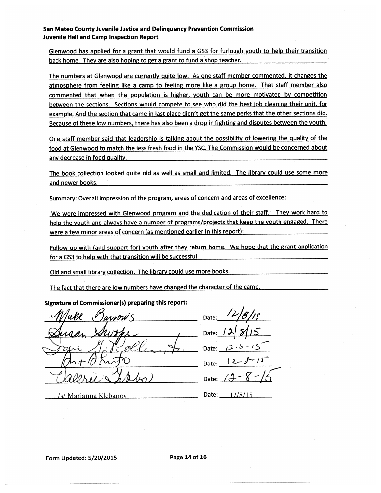Glenwood has applied for a grant that would fund a GS3 for furlough youth to help their transition back home. They are also hoping to get a grant to fund a shop teacher.

The numbers at Glenwood are currently quite low. As one staff member commented, it changes the atmosphere from feeling like a camp to feeling more like a group home. That staff member also commented that when the population is higher, youth can be more motivated by competition between the sections. Sections would compete to see who did the best job cleaning their unit, for example. And the section that came in last place didn't get the same perks that the other sections did. Because of these low numbers, there has also been a drop in fighting and disputes between the youth.

One staff member said that leadership is talking about the possibility of lowering the quality of the food at Glenwood to match the less fresh food in the YSC. The Commission would be concerned about any decrease in food quality.

The book collection looked quite old as well as small and limited. The library could use some more and newer books.

Summary: Overall impression of the program, areas of concern and areas of excellence:

We were impressed with Glenwood program and the dedication of their staff. They work hard to help the youth and always have a number of programs/projects that keep the youth engaged. There were a few minor areas of concern (as mentioned earlier in this report):

Follow up with (and support for) youth after they return home. We hope that the grant application for a GS3 to help with that transition will be successful.

Old and small library collection. The library could use more books.

The fact that there are low numbers have changed the character of the camp.

#### Signature of Commissioner(s) preparing this report:

Date: Date Date: Date: Date: /s/ Marianna Klebanov 1200 Date: 12/8/15

Form Updated: 5/20/2015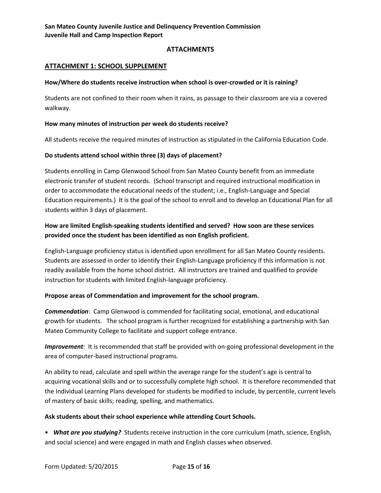# **ATTACHMENTS**

# **ATTACHMENT 1: SCHOOL SUPPLEMENT**

### **How/Where do students receive instruction when school is over-crowded or it is raining?**

Students are not confined to their room when it rains, as passage to their classroom are via a covered walkway.

### **How many minutes of instruction per week do students receive?**

All students receive the required minutes of instruction as stipulated in the California Education Code.

### **Do students attend school within three (3) days of placement?**

Students enrolling in Camp Glenwood School from San Mateo County benefit from an immediate electronic transfer of student records. (School transcript and required instructional modification in order to accommodate the educational needs of the student; i.e., English-Language and Special Education requirements.) It is the goal of the school to enroll and to develop an Educational Plan for all students within 3 days of placement.

# **How are limited English-speaking students identified and served? How soon are these services provided once the student has been identified as non English proficient.**

English-Language proficiency status is identified upon enrollment for all San Mateo County residents. Students are assessed in order to identify their English-Language proficiency if this information is not readily available from the home school district. All instructors are trained and qualified to provide instruction for students with limited English-language proficiency.

### **Propose areas of Commendation and improvement for the school program.**

*Commendation*: Camp Glenwood is commended for facilitating social, emotional, and educational growth for students. The school program is further recognized for establishing a partnership with San Mateo Community College to facilitate and support college entrance.

*Improvement*: It is recommended that staff be provided with on-going professional development in the area of computer-based instructional programs.

An ability to read, calculate and spell within the average range for the student's age is central to acquiring vocational skills and or to successfully complete high school. It is therefore recommended that the Individual Learning Plans developed for students be modified to include, by percentile, current levels of mastery of basic skills; reading, spelling, and mathematics.

### **Ask students about their school experience while attending Court Schools.**

• *What are you studying?* Students receive instruction in the core curriculum (math, science, English, and social science) and were engaged in math and English classes when observed.